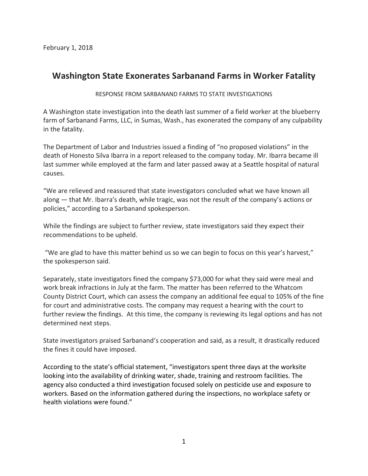## **Washington State Exonerates Sarbanand Farms in Worker Fatality**

## RESPONSE FROM SARBANAND FARMS TO STATE INVESTIGATIONS

A Washington state investigation into the death last summer of a field worker at the blueberry farm of Sarbanand Farms, LLC, in Sumas, Wash., has exonerated the company of any culpability in the fatality.

The Department of Labor and Industries issued a finding of "no proposed violations" in the death of Honesto Silva Ibarra in a report released to the company today. Mr. Ibarra became ill last summer while employed at the farm and later passed away at a Seattle hospital of natural causes.

"We are relieved and reassured that state investigators concluded what we have known all along — that Mr. Ibarra's death, while tragic, was not the result of the company's actions or policies," according to a Sarbanand spokesperson.

While the findings are subject to further review, state investigators said they expect their recommendations to be upheld.

"We are glad to have this matter behind us so we can begin to focus on this year's harvest," the spokesperson said.

Separately, state investigators fined the company \$73,000 for what they said were meal and work break infractions in July at the farm. The matter has been referred to the Whatcom County District Court, which can assess the company an additional fee equal to 105% of the fine for court and administrative costs. The company may request a hearing with the court to further review the findings. At this time, the company is reviewing its legal options and has not determined next steps.

State investigators praised Sarbanand's cooperation and said, as a result, it drastically reduced the fines it could have imposed.

According to the state's official statement, "investigators spent three days at the worksite looking into the availability of drinking water, shade, training and restroom facilities. The agency also conducted a third investigation focused solely on pesticide use and exposure to workers. Based on the information gathered during the inspections, no workplace safety or health violations were found."